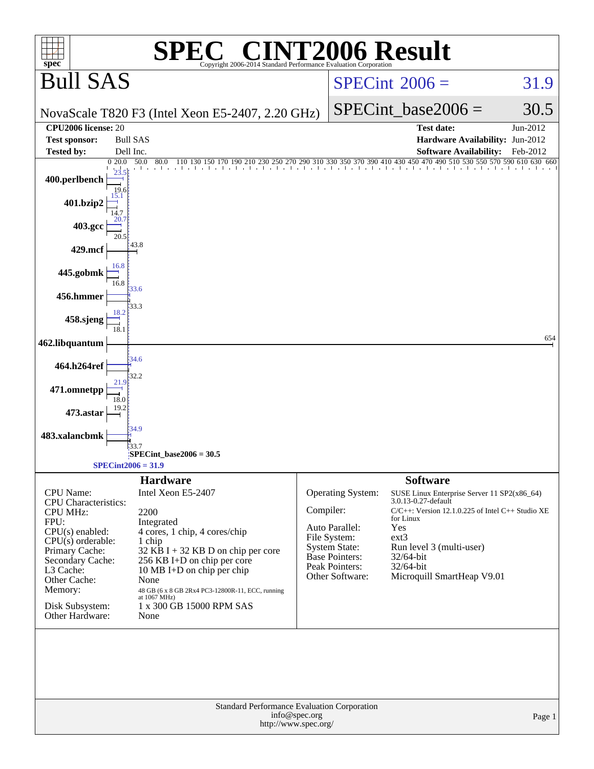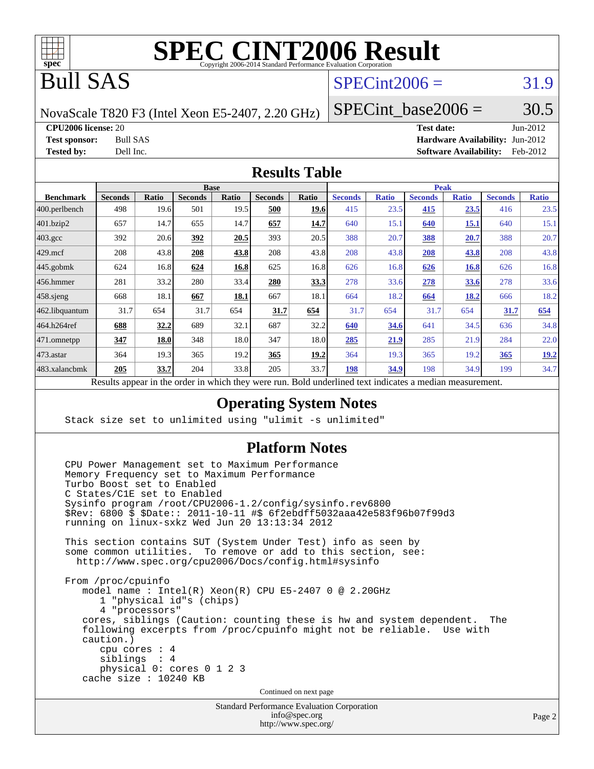

# Bull SAS

# $SPECint2006 = 31.9$  $SPECint2006 = 31.9$

NovaScale T820 F3 (Intel Xeon E5-2407, 2.20 GHz)

SPECint base2006 =  $30.5$ 

**[CPU2006 license:](http://www.spec.org/auto/cpu2006/Docs/result-fields.html#CPU2006license)** 20 **[Test date:](http://www.spec.org/auto/cpu2006/Docs/result-fields.html#Testdate)** Jun-2012

**[Test sponsor:](http://www.spec.org/auto/cpu2006/Docs/result-fields.html#Testsponsor)** Bull SAS **[Hardware Availability:](http://www.spec.org/auto/cpu2006/Docs/result-fields.html#HardwareAvailability)** Jun-2012 **[Tested by:](http://www.spec.org/auto/cpu2006/Docs/result-fields.html#Testedby)** Dell Inc. **[Software Availability:](http://www.spec.org/auto/cpu2006/Docs/result-fields.html#SoftwareAvailability)** Feb-2012

#### **[Results Table](http://www.spec.org/auto/cpu2006/Docs/result-fields.html#ResultsTable)**

|                                                                                                          | <b>Base</b>    |       |                |       |                | <b>Peak</b> |                |              |                |              |                |              |
|----------------------------------------------------------------------------------------------------------|----------------|-------|----------------|-------|----------------|-------------|----------------|--------------|----------------|--------------|----------------|--------------|
| <b>Benchmark</b>                                                                                         | <b>Seconds</b> | Ratio | <b>Seconds</b> | Ratio | <b>Seconds</b> | Ratio       | <b>Seconds</b> | <b>Ratio</b> | <b>Seconds</b> | <b>Ratio</b> | <b>Seconds</b> | <b>Ratio</b> |
| $ 400$ .perlbench                                                                                        | 498            | 19.6  | 501            | 19.5  | 500            | 19.6        | 415            | 23.5         | 415            | 23.5         | 416            | 23.5         |
| 401.bzip2                                                                                                | 657            | 14.7  | 655            | 14.7  | 657            | 14.7        | 640            | 15.1         | 640            | 15.1         | 640            | 15.1         |
| $403.\mathrm{gcc}$                                                                                       | 392            | 20.6  | 392            | 20.5  | 393            | 20.5        | 388            | 20.7         | 388            | 20.7         | 388            | 20.7         |
| $429$ .mcf                                                                                               | 208            | 43.8  | 208            | 43.8  | 208            | 43.8        | 208            | 43.8         | 208            | 43.8         | 208            | 43.8         |
| $445$ .gobmk                                                                                             | 624            | 16.8  | 624            | 16.8  | 625            | 16.8        | 626            | 16.8         | 626            | 16.8         | 626            | 16.8         |
| $456.$ hmmer                                                                                             | 281            | 33.2  | 280            | 33.4  | 280            | 33.3        | 278            | 33.6         | 278            | 33.6         | 278            | 33.6         |
| $458$ .sjeng                                                                                             | 668            | 18.1  | 667            | 18.1  | 667            | 18.1        | 664            | 18.2         | 664            | 18.2         | 666            | 18.2         |
| 462.libquantum                                                                                           | 31.7           | 654   | 31.7           | 654   | 31.7           | 654         | 31.7           | 654          | 31.7           | 654          | 31.7           | 654          |
| 464.h264ref                                                                                              | 688            | 32.2  | 689            | 32.1  | 687            | 32.2        | 640            | 34.6         | 641            | 34.5         | 636            | 34.8         |
| 471.omnetpp                                                                                              | 347            | 18.0  | 348            | 18.0  | 347            | 18.0        | 285            | 21.9         | 285            | 21.9         | 284            | 22.0         |
| $473$ . astar                                                                                            | 364            | 19.3  | 365            | 19.2  | 365            | 19.2        | 364            | 19.3         | 365            | 19.2         | 365            | <u>19.2</u>  |
| 483.xalancbmk                                                                                            | 205            | 33.7  | 204            | 33.8  | 205            | 33.7        | 198            | 34.9         | 198            | 34.9         | 199            | 34.7         |
| Results appear in the order in which they were run. Bold underlined text indicates a median measurement. |                |       |                |       |                |             |                |              |                |              |                |              |

**[Operating System Notes](http://www.spec.org/auto/cpu2006/Docs/result-fields.html#OperatingSystemNotes)**

Stack size set to unlimited using "ulimit -s unlimited"

#### **[Platform Notes](http://www.spec.org/auto/cpu2006/Docs/result-fields.html#PlatformNotes)**

 CPU Power Management set to Maximum Performance Memory Frequency set to Maximum Performance Turbo Boost set to Enabled C States/C1E set to Enabled Sysinfo program /root/CPU2006-1.2/config/sysinfo.rev6800 \$Rev: 6800 \$ \$Date:: 2011-10-11 #\$ 6f2ebdff5032aaa42e583f96b07f99d3 running on linux-sxkz Wed Jun 20 13:13:34 2012 This section contains SUT (System Under Test) info as seen by some common utilities. To remove or add to this section, see: <http://www.spec.org/cpu2006/Docs/config.html#sysinfo> From /proc/cpuinfo model name : Intel(R) Xeon(R) CPU E5-2407 0 @ 2.20GHz 1 "physical id"s (chips) 4 "processors" cores, siblings (Caution: counting these is hw and system dependent. The following excerpts from /proc/cpuinfo might not be reliable. Use with caution.) cpu cores : 4 siblings : 4 physical 0: cores 0 1 2 3 cache size : 10240 KB Continued on next page

Standard Performance Evaluation Corporation [info@spec.org](mailto:info@spec.org) <http://www.spec.org/>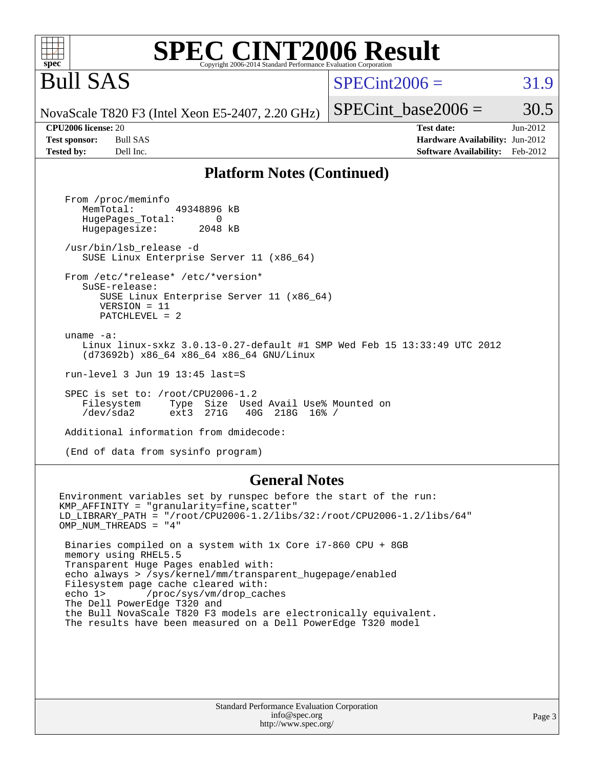#### **spec [SPEC CINT2006 Result](http://www.spec.org/auto/cpu2006/Docs/result-fields.html#SPECCINT2006Result)** Copyright 2006-2014 Standard Performance Evaluation Corpor

# Bull SAS

# $SPECint2006 = 31.9$  $SPECint2006 = 31.9$

SPECint base2006 =  $30.5$ 

NovaScale T820 F3 (Intel Xeon E5-2407, 2.20 GHz)

**[CPU2006 license:](http://www.spec.org/auto/cpu2006/Docs/result-fields.html#CPU2006license)** 20 **[Test date:](http://www.spec.org/auto/cpu2006/Docs/result-fields.html#Testdate)** Jun-2012 **[Test sponsor:](http://www.spec.org/auto/cpu2006/Docs/result-fields.html#Testsponsor)** Bull SAS **[Hardware Availability:](http://www.spec.org/auto/cpu2006/Docs/result-fields.html#HardwareAvailability)** Jun-2012 **[Tested by:](http://www.spec.org/auto/cpu2006/Docs/result-fields.html#Testedby)** Dell Inc. **[Software Availability:](http://www.spec.org/auto/cpu2006/Docs/result-fields.html#SoftwareAvailability)** Feb-2012

#### **[Platform Notes \(Continued\)](http://www.spec.org/auto/cpu2006/Docs/result-fields.html#PlatformNotes)**

 From /proc/meminfo MemTotal: 49348896 kB HugePages\_Total: 0<br>Hugepagesize: 2048 kB Hugepagesize: /usr/bin/lsb\_release -d SUSE Linux Enterprise Server 11 (x86\_64) From /etc/\*release\* /etc/\*version\* SuSE-release: SUSE Linux Enterprise Server 11 (x86\_64) VERSION = 11 PATCHLEVEL = 2 uname -a: Linux linux-sxkz 3.0.13-0.27-default #1 SMP Wed Feb 15 13:33:49 UTC 2012 (d73692b) x86\_64 x86\_64 x86\_64 GNU/Linux run-level 3 Jun 19 13:45 last=S SPEC is set to: /root/CPU2006-1.2 Filesystem Type Size Used Avail Use% Mounted on<br>
/dev/sda2 ext3 271G 40G 218G 16% / /dev/sda2 ext3 271G 40G 218G 16% / Additional information from dmidecode:

(End of data from sysinfo program)

#### **[General Notes](http://www.spec.org/auto/cpu2006/Docs/result-fields.html#GeneralNotes)**

Environment variables set by runspec before the start of the run: KMP\_AFFINITY = "granularity=fine,scatter" LD\_LIBRARY\_PATH = "/root/CPU2006-1.2/libs/32:/root/CPU2006-1.2/libs/64" OMP\_NUM\_THREADS = "4" Binaries compiled on a system with 1x Core i7-860 CPU + 8GB memory using RHEL5.5 Transparent Huge Pages enabled with: echo always > /sys/kernel/mm/transparent\_hugepage/enabled Filesystem page cache cleared with: echo 1> /proc/sys/vm/drop\_caches The Dell PowerEdge T320 and the Bull NovaScale T820 F3 models are electronically equivalent. The results have been measured on a Dell PowerEdge T320 model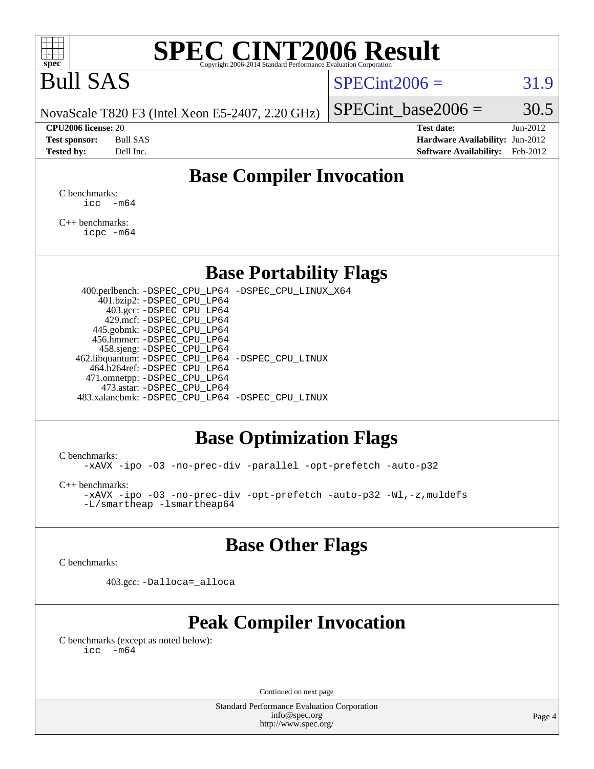

# Bull SAS

#### $SPECint2006 = 31.9$  $SPECint2006 = 31.9$

NovaScale T820 F3 (Intel Xeon E5-2407, 2.20 GHz)

**[CPU2006 license:](http://www.spec.org/auto/cpu2006/Docs/result-fields.html#CPU2006license)** 20 **[Test date:](http://www.spec.org/auto/cpu2006/Docs/result-fields.html#Testdate)** Jun-2012 **[Test sponsor:](http://www.spec.org/auto/cpu2006/Docs/result-fields.html#Testsponsor)** Bull SAS **[Hardware Availability:](http://www.spec.org/auto/cpu2006/Docs/result-fields.html#HardwareAvailability)** Jun-2012 **[Tested by:](http://www.spec.org/auto/cpu2006/Docs/result-fields.html#Testedby)** Dell Inc. **[Software Availability:](http://www.spec.org/auto/cpu2006/Docs/result-fields.html#SoftwareAvailability)** Feb-2012

SPECint base2006 =  $30.5$ 

### **[Base Compiler Invocation](http://www.spec.org/auto/cpu2006/Docs/result-fields.html#BaseCompilerInvocation)**

[C benchmarks](http://www.spec.org/auto/cpu2006/Docs/result-fields.html#Cbenchmarks):  $\text{icc}$   $-\text{m64}$ 

[C++ benchmarks:](http://www.spec.org/auto/cpu2006/Docs/result-fields.html#CXXbenchmarks) [icpc -m64](http://www.spec.org/cpu2006/results/res2012q3/cpu2006-20120703-23440.flags.html#user_CXXbase_intel_icpc_64bit_fc66a5337ce925472a5c54ad6a0de310)

**[Base Portability Flags](http://www.spec.org/auto/cpu2006/Docs/result-fields.html#BasePortabilityFlags)**

 400.perlbench: [-DSPEC\\_CPU\\_LP64](http://www.spec.org/cpu2006/results/res2012q3/cpu2006-20120703-23440.flags.html#b400.perlbench_basePORTABILITY_DSPEC_CPU_LP64) [-DSPEC\\_CPU\\_LINUX\\_X64](http://www.spec.org/cpu2006/results/res2012q3/cpu2006-20120703-23440.flags.html#b400.perlbench_baseCPORTABILITY_DSPEC_CPU_LINUX_X64) 401.bzip2: [-DSPEC\\_CPU\\_LP64](http://www.spec.org/cpu2006/results/res2012q3/cpu2006-20120703-23440.flags.html#suite_basePORTABILITY401_bzip2_DSPEC_CPU_LP64) 403.gcc: [-DSPEC\\_CPU\\_LP64](http://www.spec.org/cpu2006/results/res2012q3/cpu2006-20120703-23440.flags.html#suite_basePORTABILITY403_gcc_DSPEC_CPU_LP64) 429.mcf: [-DSPEC\\_CPU\\_LP64](http://www.spec.org/cpu2006/results/res2012q3/cpu2006-20120703-23440.flags.html#suite_basePORTABILITY429_mcf_DSPEC_CPU_LP64) 445.gobmk: [-DSPEC\\_CPU\\_LP64](http://www.spec.org/cpu2006/results/res2012q3/cpu2006-20120703-23440.flags.html#suite_basePORTABILITY445_gobmk_DSPEC_CPU_LP64) 456.hmmer: [-DSPEC\\_CPU\\_LP64](http://www.spec.org/cpu2006/results/res2012q3/cpu2006-20120703-23440.flags.html#suite_basePORTABILITY456_hmmer_DSPEC_CPU_LP64) 458.sjeng: [-DSPEC\\_CPU\\_LP64](http://www.spec.org/cpu2006/results/res2012q3/cpu2006-20120703-23440.flags.html#suite_basePORTABILITY458_sjeng_DSPEC_CPU_LP64) 462.libquantum: [-DSPEC\\_CPU\\_LP64](http://www.spec.org/cpu2006/results/res2012q3/cpu2006-20120703-23440.flags.html#suite_basePORTABILITY462_libquantum_DSPEC_CPU_LP64) [-DSPEC\\_CPU\\_LINUX](http://www.spec.org/cpu2006/results/res2012q3/cpu2006-20120703-23440.flags.html#b462.libquantum_baseCPORTABILITY_DSPEC_CPU_LINUX) 464.h264ref: [-DSPEC\\_CPU\\_LP64](http://www.spec.org/cpu2006/results/res2012q3/cpu2006-20120703-23440.flags.html#suite_basePORTABILITY464_h264ref_DSPEC_CPU_LP64) 471.omnetpp: [-DSPEC\\_CPU\\_LP64](http://www.spec.org/cpu2006/results/res2012q3/cpu2006-20120703-23440.flags.html#suite_basePORTABILITY471_omnetpp_DSPEC_CPU_LP64) 473.astar: [-DSPEC\\_CPU\\_LP64](http://www.spec.org/cpu2006/results/res2012q3/cpu2006-20120703-23440.flags.html#suite_basePORTABILITY473_astar_DSPEC_CPU_LP64) 483.xalancbmk: [-DSPEC\\_CPU\\_LP64](http://www.spec.org/cpu2006/results/res2012q3/cpu2006-20120703-23440.flags.html#suite_basePORTABILITY483_xalancbmk_DSPEC_CPU_LP64) [-DSPEC\\_CPU\\_LINUX](http://www.spec.org/cpu2006/results/res2012q3/cpu2006-20120703-23440.flags.html#b483.xalancbmk_baseCXXPORTABILITY_DSPEC_CPU_LINUX)

### **[Base Optimization Flags](http://www.spec.org/auto/cpu2006/Docs/result-fields.html#BaseOptimizationFlags)**

[C benchmarks](http://www.spec.org/auto/cpu2006/Docs/result-fields.html#Cbenchmarks):

[-xAVX](http://www.spec.org/cpu2006/results/res2012q3/cpu2006-20120703-23440.flags.html#user_CCbase_f-xAVX) [-ipo](http://www.spec.org/cpu2006/results/res2012q3/cpu2006-20120703-23440.flags.html#user_CCbase_f-ipo) [-O3](http://www.spec.org/cpu2006/results/res2012q3/cpu2006-20120703-23440.flags.html#user_CCbase_f-O3) [-no-prec-div](http://www.spec.org/cpu2006/results/res2012q3/cpu2006-20120703-23440.flags.html#user_CCbase_f-no-prec-div) [-parallel](http://www.spec.org/cpu2006/results/res2012q3/cpu2006-20120703-23440.flags.html#user_CCbase_f-parallel) [-opt-prefetch](http://www.spec.org/cpu2006/results/res2012q3/cpu2006-20120703-23440.flags.html#user_CCbase_f-opt-prefetch) [-auto-p32](http://www.spec.org/cpu2006/results/res2012q3/cpu2006-20120703-23440.flags.html#user_CCbase_f-auto-p32)

[C++ benchmarks:](http://www.spec.org/auto/cpu2006/Docs/result-fields.html#CXXbenchmarks)

[-xAVX](http://www.spec.org/cpu2006/results/res2012q3/cpu2006-20120703-23440.flags.html#user_CXXbase_f-xAVX) [-ipo](http://www.spec.org/cpu2006/results/res2012q3/cpu2006-20120703-23440.flags.html#user_CXXbase_f-ipo) [-O3](http://www.spec.org/cpu2006/results/res2012q3/cpu2006-20120703-23440.flags.html#user_CXXbase_f-O3) [-no-prec-div](http://www.spec.org/cpu2006/results/res2012q3/cpu2006-20120703-23440.flags.html#user_CXXbase_f-no-prec-div) [-opt-prefetch](http://www.spec.org/cpu2006/results/res2012q3/cpu2006-20120703-23440.flags.html#user_CXXbase_f-opt-prefetch) [-auto-p32](http://www.spec.org/cpu2006/results/res2012q3/cpu2006-20120703-23440.flags.html#user_CXXbase_f-auto-p32) [-Wl,-z,muldefs](http://www.spec.org/cpu2006/results/res2012q3/cpu2006-20120703-23440.flags.html#user_CXXbase_link_force_multiple1_74079c344b956b9658436fd1b6dd3a8a) [-L/smartheap -lsmartheap64](http://www.spec.org/cpu2006/results/res2012q3/cpu2006-20120703-23440.flags.html#user_CXXbase_SmartHeap64_5e654037dadeae1fe403ab4b4466e60b)

### **[Base Other Flags](http://www.spec.org/auto/cpu2006/Docs/result-fields.html#BaseOtherFlags)**

[C benchmarks](http://www.spec.org/auto/cpu2006/Docs/result-fields.html#Cbenchmarks):

403.gcc: [-Dalloca=\\_alloca](http://www.spec.org/cpu2006/results/res2012q3/cpu2006-20120703-23440.flags.html#b403.gcc_baseEXTRA_CFLAGS_Dalloca_be3056838c12de2578596ca5467af7f3)

# **[Peak Compiler Invocation](http://www.spec.org/auto/cpu2006/Docs/result-fields.html#PeakCompilerInvocation)**

[C benchmarks \(except as noted below\)](http://www.spec.org/auto/cpu2006/Docs/result-fields.html#Cbenchmarksexceptasnotedbelow):  $\text{icc}$  -m64

Continued on next page

Standard Performance Evaluation Corporation [info@spec.org](mailto:info@spec.org) <http://www.spec.org/>

Page 4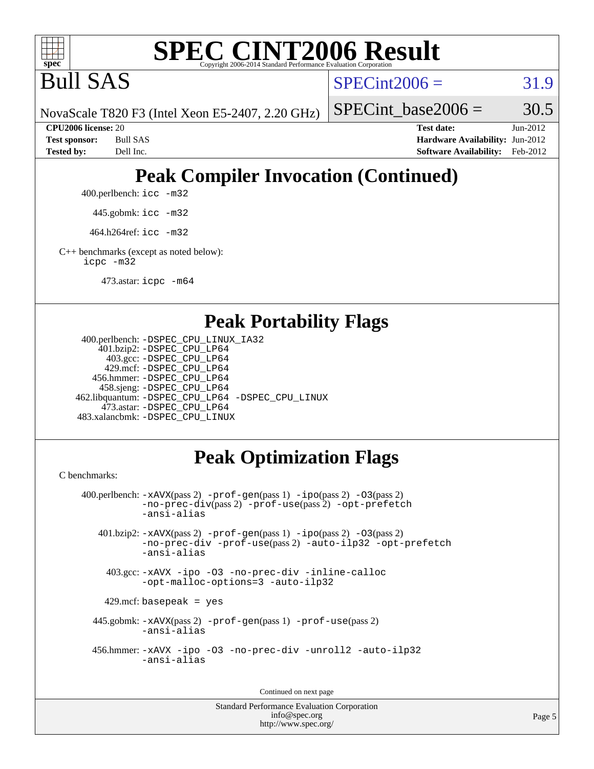

Bull SAS

 $SPECint2006 = 31.9$  $SPECint2006 = 31.9$ 

SPECint base2006 =  $30.5$ 

NovaScale T820 F3 (Intel Xeon E5-2407, 2.20 GHz)

**[CPU2006 license:](http://www.spec.org/auto/cpu2006/Docs/result-fields.html#CPU2006license)** 20 **[Test date:](http://www.spec.org/auto/cpu2006/Docs/result-fields.html#Testdate)** Jun-2012 **[Test sponsor:](http://www.spec.org/auto/cpu2006/Docs/result-fields.html#Testsponsor)** Bull SAS **[Hardware Availability:](http://www.spec.org/auto/cpu2006/Docs/result-fields.html#HardwareAvailability)** Jun-2012 **[Tested by:](http://www.spec.org/auto/cpu2006/Docs/result-fields.html#Testedby)** Dell Inc. **[Software Availability:](http://www.spec.org/auto/cpu2006/Docs/result-fields.html#SoftwareAvailability)** Feb-2012

# **[Peak Compiler Invocation \(Continued\)](http://www.spec.org/auto/cpu2006/Docs/result-fields.html#PeakCompilerInvocation)**

400.perlbench: [icc -m32](http://www.spec.org/cpu2006/results/res2012q3/cpu2006-20120703-23440.flags.html#user_peakCCLD400_perlbench_intel_icc_a6a621f8d50482236b970c6ac5f55f93)

445.gobmk: [icc -m32](http://www.spec.org/cpu2006/results/res2012q3/cpu2006-20120703-23440.flags.html#user_peakCCLD445_gobmk_intel_icc_a6a621f8d50482236b970c6ac5f55f93)

464.h264ref: [icc -m32](http://www.spec.org/cpu2006/results/res2012q3/cpu2006-20120703-23440.flags.html#user_peakCCLD464_h264ref_intel_icc_a6a621f8d50482236b970c6ac5f55f93)

[C++ benchmarks \(except as noted below\):](http://www.spec.org/auto/cpu2006/Docs/result-fields.html#CXXbenchmarksexceptasnotedbelow) [icpc -m32](http://www.spec.org/cpu2006/results/res2012q3/cpu2006-20120703-23440.flags.html#user_CXXpeak_intel_icpc_4e5a5ef1a53fd332b3c49e69c3330699)

473.astar: [icpc -m64](http://www.spec.org/cpu2006/results/res2012q3/cpu2006-20120703-23440.flags.html#user_peakCXXLD473_astar_intel_icpc_64bit_fc66a5337ce925472a5c54ad6a0de310)

#### **[Peak Portability Flags](http://www.spec.org/auto/cpu2006/Docs/result-fields.html#PeakPortabilityFlags)**

```
 400.perlbench: -DSPEC_CPU_LINUX_IA32
     401.bzip2: -DSPEC_CPU_LP64
       403.gcc: -DSPEC_CPU_LP64
      429.mcf: -DSPEC_CPU_LP64
    456.hmmer: -DSPEC_CPU_LP64
     458.sjeng: -DSPEC_CPU_LP64
 462.libquantum: -DSPEC_CPU_LP64 -DSPEC_CPU_LINUX
      473.astar: -DSPEC_CPU_LP64
 483.xalancbmk: -DSPEC_CPU_LINUX
```
# **[Peak Optimization Flags](http://www.spec.org/auto/cpu2006/Docs/result-fields.html#PeakOptimizationFlags)**

[C benchmarks](http://www.spec.org/auto/cpu2006/Docs/result-fields.html#Cbenchmarks):

```
 400.perlbench: -xAVX(pass 2) -prof-gen(pass 1) -ipo(pass 2) -O3(pass 2)
            -no-prec-div(pass 2) -prof-use(pass 2) -opt-prefetch
           -ansi-alias
    401.bzip2: -xAVX(pass 2) -prof-gen(pass 1) -ipo(pass 2) -O3(pass 2)
            -no-prec-div -prof-use(pass 2) -auto-ilp32 -opt-prefetch
            -ansi-alias
     403.gcc: -xAVX -ipo -O3 -no-prec-div -inline-calloc
            -opt-malloc-options=3 -auto-ilp32
    429.mcf: basepeak = yes
   445.gobmk: -xAVX(pass 2) -prof-gen(pass 1) -prof-use(pass 2)
            -ansi-alias
   456.hmmer: -xAVX -ipo -O3 -no-prec-div -unroll2 -auto-ilp32
            -ansi-alias
```
Continued on next page

```
Standard Performance Evaluation Corporation
              info@spec.org
           http://www.spec.org/
```